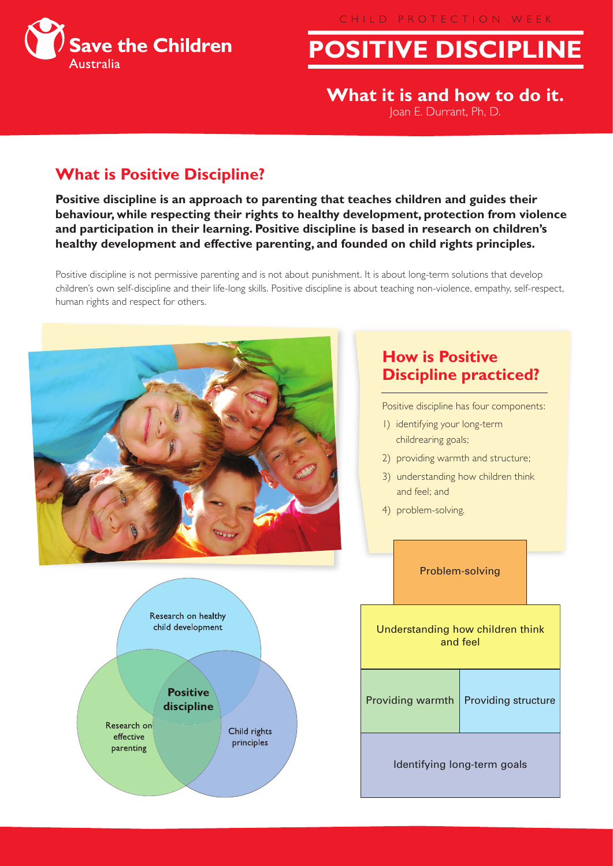CHILD PROTECTION WEEK



**POSITIVE DISCIPLINE** 

**What it is and how to do it.** Joan E. Durrant, Ph, D.

# **What is Positive Discipline?**

**Positive discipline is an approach to parenting that teaches children and guides their behaviour, while respecting their rights to healthy development, protection from violence and participation in their learning. Positive discipline is based in research on children's healthy development and effective parenting, and founded on child rights principles.**

Positive discipline is not permissive parenting and is not about punishment. It is about long-term solutions that develop children's own self-discipline and their life-long skills. Positive discipline is about teaching non-violence, empathy, self-respect, human rights and respect for others.



### **How is Positive Discipline practiced?**

Positive discipline has four components:

- 1) identifying your long-term childrearing goals;
- 2) providing warmth and structure;
- 3) understanding how children think and feel; and
- 4) problem-solving.

|                                              | Problem-solving  |                     |  |
|----------------------------------------------|------------------|---------------------|--|
| Understanding how children think<br>and feel |                  |                     |  |
|                                              | Providing warmth | Providing structure |  |
| Identifying long-term goals                  |                  |                     |  |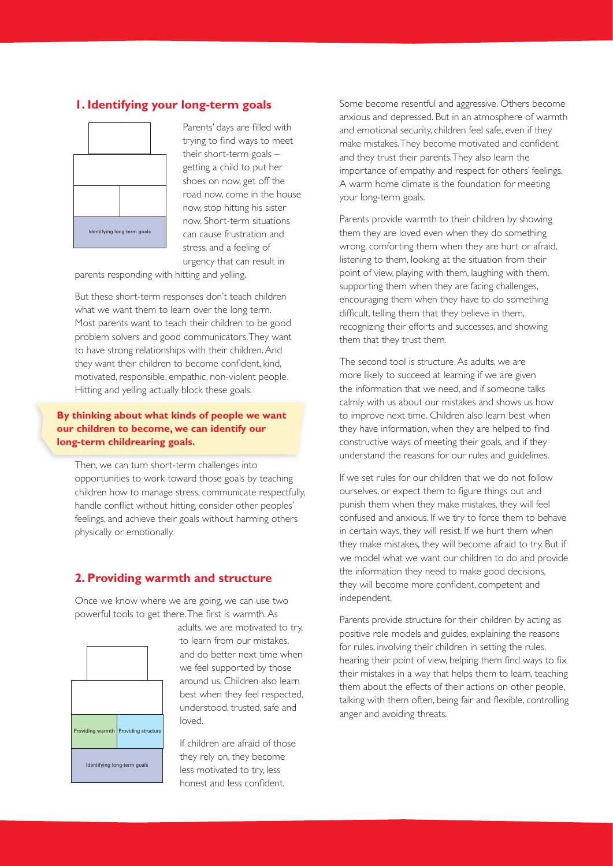### **1. Identifying your long-term goals**



Parents' days are filled with trying to find ways to meet their short-term goals – getting a child to put her shoes on now, get off the road now, come in the house now, stop hitting his sister now. Short-term situations can cause frustration and stress, and a feeling of urgency that can result in

parents responding with hitting and yelling.

But these short-term responses don't teach children what we want them to learn over the long term. Most parents want to teach their children to be good problem solvers and good communicators. They want to have strong relationships with their children. And they want their children to become confident, kind, motivated, responsible, empathic, non-violent people. Hitting and yelling actually block these goals.

#### **By thinking about what kinds of people we want our children to become, we can identify our long-term childrearing goals.**

Then, we can turn short-term challenges into opportunities to work toward those goals by teaching children how to manage stress, communicate respectfully, handle conflict without hitting, consider other peoples' feelings, and achieve their goals without harming others physically or emotionally.

#### **2. Providing warmth and structure**

Once we know where we are going, we can use two powerful tools to get there. The first is warmth. As



adults, we are motivated to try, to learn from our mistakes, and do better next time when we feel supported by those around us. Children also learn best when they feel respected, understood, trusted, safe and loved.

If children are afraid of those they rely on, they become less motivated to try, less honest and less confident.

Some become resentful and aggressive. Others become anxious and depressed. But in an atmosphere of warmth and emotional security, children feel safe, even if they make mistakes. They become motivated and confident, and they trust their parents. They also learn the importance of empathy and respect for others' feelings. A warm home climate is the foundation for meeting your long-term goals.

Parents provide warmth to their children by showing them they are loved even when they do something wrong, comforting them when they are hurt or afraid, listening to them, looking at the situation from their point of view, playing with them, laughing with them, supporting them when they are facing challenges, encouraging them when they have to do something difficult, telling them that they believe in them, recognizing their efforts and successes, and showing them that they trust them.

The second tool is structure. As adults, we are more likely to succeed at learning if we are given the information that we need, and if someone talks calmly with us about our mistakes and shows us how to improve next time. Children also learn best when they have information, when they are helped to find constructive ways of meeting their goals, and if they understand the reasons for our rules and guidelines.

If we set rules for our children that we do not follow ourselves, or expect them to figure things out and punish them when they make mistakes, they will feel confused and anxious. If we try to force them to behave in certain ways, they will resist. If we hurt them when they make mistakes, they will become afraid to try. But if we model what we want our children to do and provide the information they need to make good decisions, they will become more confident, competent and independent.

Parents provide structure for their children by acting as positive role models and guides, explaining the reasons for rules, involving their children in setting the rules, hearing their point of view, helping them find ways to fix their mistakes in a way that helps them to learn, teaching them about the effects of their actions on other people, talking with them often, being fair and flexible, controlling anger and avoiding threats.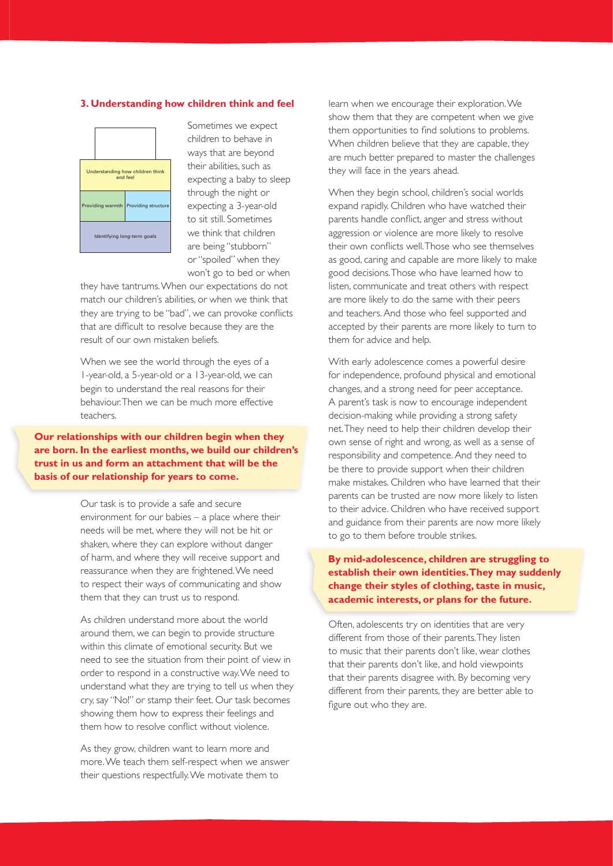#### **3. Understanding how children think and feel**



Sometimes we expect children to behave in ways that are beyond their abilities, such as expecting a baby to sleep through the night or expecting a 3-year-old to sit still. Sometimes we think that children are being "stubborn" or "spoiled" when they won't go to bed or when

they have tantrums. When our expectations do not match our children's abilities, or when we think that they are trying to be "bad", we can provoke conflicts that are difficult to resolve because they are the result of our own mistaken beliefs.

When we see the world through the eyes of a 1-year-old, a 5-year-old or a 13-year-old, we can begin to understand the real reasons for their behaviour. Then we can be much more effective teachers.

**Our relationships with our children begin when they are born. In the earliest months, we build our children's trust in us and form an attachment that will be the basis of our relationship for years to come.** 

> Our task is to provide a safe and secure environment for our babies – a place where their needs will be met, where they will not be hit or shaken, where they can explore without danger of harm, and where they will receive support and reassurance when they are frightened. We need to respect their ways of communicating and show them that they can trust us to respond.

As children understand more about the world around them, we can begin to provide structure within this climate of emotional security. But we need to see the situation from their point of view in order to respond in a constructive way. We need to understand what they are trying to tell us when they cry, say "No!" or stamp their feet. Our task becomes showing them how to express their feelings and them how to resolve conflict without violence.

As they grow, children want to learn more and more. We teach them self-respect when we answer their questions respectfully. We motivate them to

learn when we encourage their exploration. We show them that they are competent when we give them opportunities to find solutions to problems. When children believe that they are capable, they are much better prepared to master the challenges they will face in the years ahead.

When they begin school, children's social worlds expand rapidly. Children who have watched their parents handle conflict, anger and stress without aggression or violence are more likely to resolve their own conflicts well. Those who see themselves as good, caring and capable are more likely to make good decisions. Those who have learned how to listen, communicate and treat others with respect are more likely to do the same with their peers and teachers. And those who feel supported and accepted by their parents are more likely to turn to them for advice and help.

With early adolescence comes a powerful desire for independence, profound physical and emotional changes, and a strong need for peer acceptance. A parent's task is now to encourage independent decision-making while providing a strong safety net. They need to help their children develop their own sense of right and wrong, as well as a sense of responsibility and competence. And they need to be there to provide support when their children make mistakes. Children who have learned that their parents can be trusted are now more likely to listen to their advice. Children who have received support and guidance from their parents are now more likely to go to them before trouble strikes.

#### **By mid-adolescence, children are struggling to establish their own identities. They may suddenly change their styles of clothing, taste in music, academic interests, or plans for the future.**

Often, adolescents try on identities that are very different from those of their parents. They listen to music that their parents don't like, wear clothes that their parents don't like, and hold viewpoints that their parents disagree with. By becoming very different from their parents, they are better able to figure out who they are.